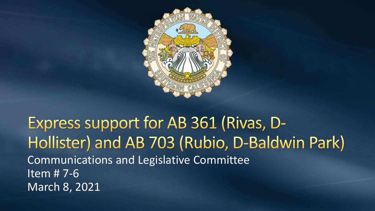

#### Express support for AB 361 (Rivas, D-Hollister) and AB 703 (Rubio, D-Baldwin Park) Communications and Legislative Committee Item # 7-6 March 8, 2021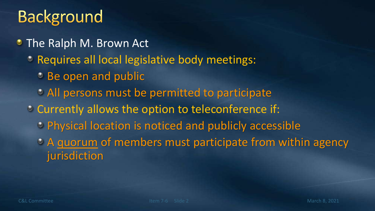## **Background**

- The Ralph M. Brown Act
	- Requires all local legislative body meetings:
		- **Be open and public**
		- All persons must be permitted to participate
	- <sup>•</sup> Currently allows the option to teleconference if:
		- Physical location is noticed and publicly accessible
		- A quorum of members must participate from within agency jurisdiction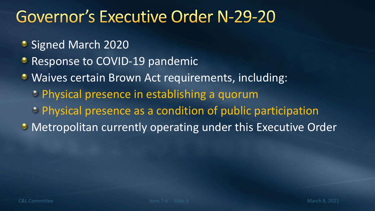### **Governor's Executive Order N-29-20**

- Signed March 2020
- **Response to COVID-19 pandemic**
- **Waives certain Brown Act requirements, including:** 
	- Physical presence in establishing a quorum
	- Physical presence as a condition of public participation
- Metropolitan currently operating under this Executive Order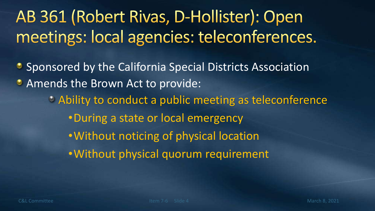# AB 361 (Robert Rivas, D-Hollister): Open meetings: local agencies: teleconferences.

**• Sponsored by the California Special Districts Association • Amends the Brown Act to provide:** Ability to conduct a public meeting as teleconference •During a state or local emergency •Without noticing of physical location •Without physical quorum requirement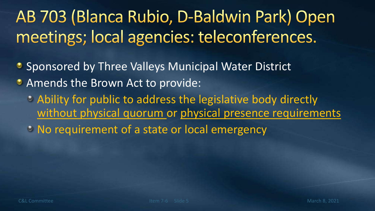# AB 703 (Blanca Rubio, D-Baldwin Park) Open meetings; local agencies: teleconferences.

- **Sponsored by Three Valleys Municipal Water District**
- **Amends the Brown Act to provide:** 
	- Ability for public to address the legislative body directly without physical quorum or physical presence requirements
	- No requirement of a state or local emergency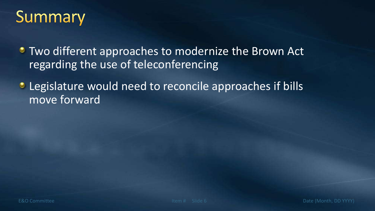

**• Two different approaches to modernize the Brown Act** regarding the use of teleconferencing

Legislature would need to reconcile approaches if bills  $\bullet$ move forward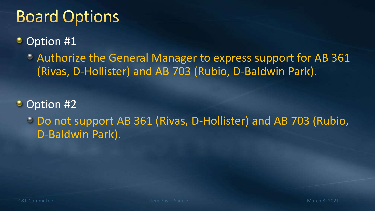## **Board Options**

#### Option #1 ۰

Authorize the General Manager to express support for AB 361 (Rivas, D-Hollister) and AB 703 (Rubio, D-Baldwin Park).

• Option #2

Do not support AB 361 (Rivas, D-Hollister) and AB 703 (Rubio, D-Baldwin Park).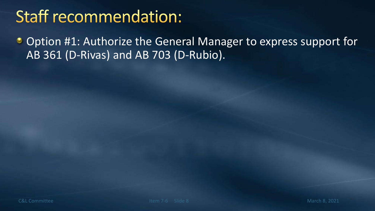# **Staff recommendation:**

Option #1: Authorize the General Manager to express support for  $\bullet$ AB 361 (D-Rivas) and AB 703 (D-Rubio).